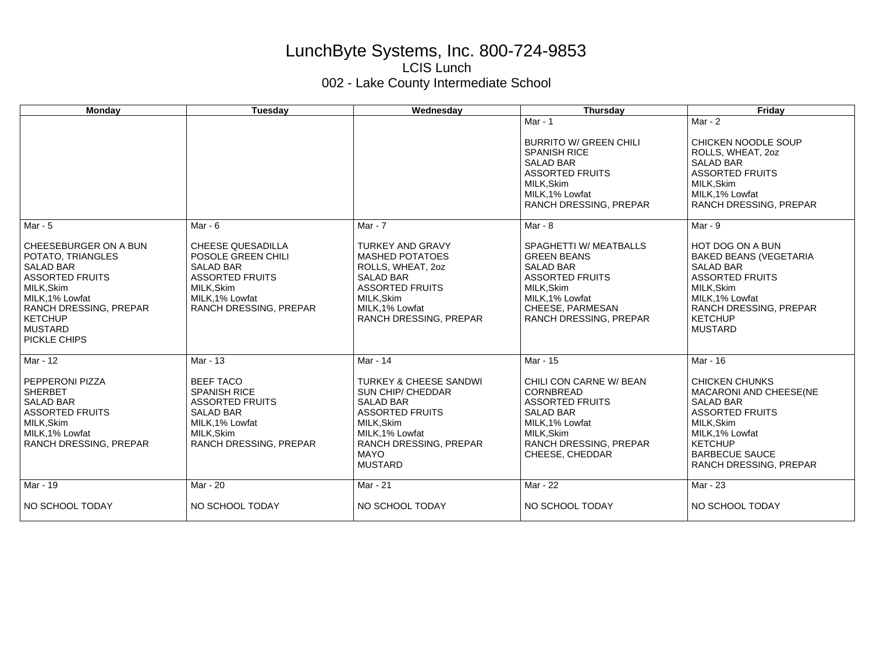## LunchByte Systems, Inc. 800-724-9853 LCIS Lunch 002 - Lake County Intermediate School

| <b>Monday</b>                                                                                                                                                                                                  | Tuesday                                                                                                                                                 | Wednesday                                                                                                                                                                                                      | <b>Thursday</b>                                                                                                                                                           | Friday                                                                                                                                                                                             |
|----------------------------------------------------------------------------------------------------------------------------------------------------------------------------------------------------------------|---------------------------------------------------------------------------------------------------------------------------------------------------------|----------------------------------------------------------------------------------------------------------------------------------------------------------------------------------------------------------------|---------------------------------------------------------------------------------------------------------------------------------------------------------------------------|----------------------------------------------------------------------------------------------------------------------------------------------------------------------------------------------------|
|                                                                                                                                                                                                                |                                                                                                                                                         |                                                                                                                                                                                                                | Mar - 1<br><b>BURRITO W/ GREEN CHILI</b><br><b>SPANISH RICE</b><br><b>SALAD BAR</b><br><b>ASSORTED FRUITS</b><br>MILK, Skim<br>MILK.1% Lowfat<br>RANCH DRESSING, PREPAR   | Mar - $2$<br>CHICKEN NOODLE SOUP<br>ROLLS, WHEAT, 2oz<br><b>SALAD BAR</b><br><b>ASSORTED FRUITS</b><br>MILK, Skim<br>MILK, 1% Lowfat<br>RANCH DRESSING, PREPAR                                     |
| Mar - 5                                                                                                                                                                                                        | Mar - $6$                                                                                                                                               | Mar - 7                                                                                                                                                                                                        | Mar - 8                                                                                                                                                                   | Mar - 9                                                                                                                                                                                            |
| CHEESEBURGER ON A BUN<br>POTATO, TRIANGLES<br><b>SALAD BAR</b><br><b>ASSORTED FRUITS</b><br>MILK, Skim<br>MILK, 1% Lowfat<br><b>RANCH DRESSING, PREPAR</b><br><b>KETCHUP</b><br><b>MUSTARD</b><br>PICKLE CHIPS | <b>CHEESE QUESADILLA</b><br>POSOLE GREEN CHILI<br><b>SALAD BAR</b><br><b>ASSORTED FRUITS</b><br>MILK, Skim<br>MILK, 1% Lowfat<br>RANCH DRESSING, PREPAR | <b>TURKEY AND GRAVY</b><br><b>MASHED POTATOES</b><br>ROLLS, WHEAT, 2oz<br><b>SALAD BAR</b><br><b>ASSORTED FRUITS</b><br>MILK, Skim<br>MILK.1% Lowfat<br><b>RANCH DRESSING, PREPAR</b>                          | SPAGHETTI W/ MEATBALLS<br><b>GREEN BEANS</b><br><b>SALAD BAR</b><br><b>ASSORTED FRUITS</b><br>MILK, Skim<br>MILK, 1% Lowfat<br>CHEESE, PARMESAN<br>RANCH DRESSING, PREPAR | HOT DOG ON A BUN<br><b>BAKED BEANS (VEGETARIA)</b><br><b>SALAD BAR</b><br><b>ASSORTED FRUITS</b><br>MILK, Skim<br>MILK, 1% Lowfat<br>RANCH DRESSING, PREPAR<br><b>KETCHUP</b><br><b>MUSTARD</b>    |
| Mar - 12                                                                                                                                                                                                       | Mar - 13                                                                                                                                                | Mar - 14                                                                                                                                                                                                       | Mar - 15                                                                                                                                                                  | Mar - 16                                                                                                                                                                                           |
| <b>PEPPERONI PIZZA</b><br><b>SHERBET</b><br><b>SALAD BAR</b><br><b>ASSORTED FRUITS</b><br>MILK, Skim<br>MILK, 1% Lowfat<br><b>RANCH DRESSING, PREPAR</b>                                                       | <b>BEEF TACO</b><br><b>SPANISH RICE</b><br><b>ASSORTED FRUITS</b><br><b>SALAD BAR</b><br>MILK, 1% Lowfat<br>MILK, Skim<br>RANCH DRESSING, PREPAR        | <b>TURKEY &amp; CHEESE SANDWI</b><br><b>SUN CHIP/ CHEDDAR</b><br><b>SALAD BAR</b><br><b>ASSORTED FRUITS</b><br>MILK, Skim<br>MILK, 1% Lowfat<br><b>RANCH DRESSING, PREPAR</b><br><b>MAYO</b><br><b>MUSTARD</b> | CHILI CON CARNE W/ BEAN<br>CORNBREAD<br><b>ASSORTED FRUITS</b><br><b>SALAD BAR</b><br>MILK.1% Lowfat<br>MILK, Skim<br>RANCH DRESSING, PREPAR<br>CHEESE, CHEDDAR           | <b>CHICKEN CHUNKS</b><br>MACARONI AND CHEESE(NE<br><b>SALAD BAR</b><br><b>ASSORTED FRUITS</b><br>MILK.Skim<br>MILK, 1% Lowfat<br><b>KETCHUP</b><br><b>BARBECUE SAUCE</b><br>RANCH DRESSING, PREPAR |
| Mar - 19                                                                                                                                                                                                       | Mar - 20                                                                                                                                                | Mar - 21                                                                                                                                                                                                       | Mar - 22                                                                                                                                                                  | Mar - 23                                                                                                                                                                                           |
| NO SCHOOL TODAY                                                                                                                                                                                                | NO SCHOOL TODAY                                                                                                                                         | NO SCHOOL TODAY                                                                                                                                                                                                | NO SCHOOL TODAY                                                                                                                                                           | NO SCHOOL TODAY                                                                                                                                                                                    |